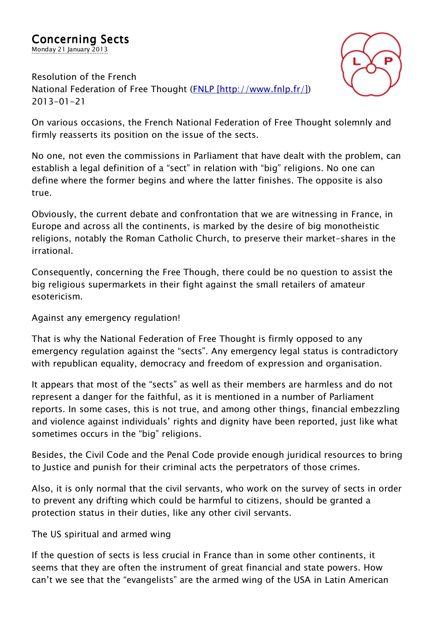

*Resolution of the French National Federation of Free Thought (FNLP [http://www.fnlp.fr/]) 2013-01-21*

*On various occasions, the French National Federation of Free Thought solemnly and firmly reasserts its position on the issue of the sects.*

*No one, not even the commissions in Parliament that have dealt with the problem, can establish a legal definition of a "sect" in relation with "big" religions. No one can define where the former begins and where the latter finishes. The opposite is also true.*

*Obviously, the current debate and confrontation that we are witnessing in France, in Europe and across all the continents, is marked by the desire of big monotheistic religions, notably the Roman Catholic Church, to preserve their market-shares in the irrational.*

*Consequently, concerning the Free Though, there could be no question to assist the big religious supermarkets in their fight against the small retailers of amateur esotericism.*

*Against any emergency regulation!*

*That is why the National Federation of Free Thought is firmly opposed to any emergency regulation against the "sects". Any emergency legal status is contradictory with republican equality, democracy and freedom of expression and organisation.*

*It appears that most of the "sects" as well as their members are harmless and do not represent a danger for the faithful, as it is mentioned in a number of Parliament reports. In some cases, this is not true, and among other things, financial embezzling and violence against individuals' rights and dignity have been reported, just like what sometimes occurs in the "big" religions.*

*Besides, the Civil Code and the Penal Code provide enough juridical resources to bring to Justice and punish for their criminal acts the perpetrators of those crimes.*

*Also, it is only normal that the civil servants, who work on the survey of sects in order to prevent any drifting which could be harmful to citizens, should be granted a protection status in their duties, like any other civil servants.*

*The US spiritual and armed wing*

*If the question of sects is less crucial in France than in some other continents, it seems that they are often the instrument of great financial and state powers. How can't we see that the "evangelists" are the armed wing of the USA in Latin American*